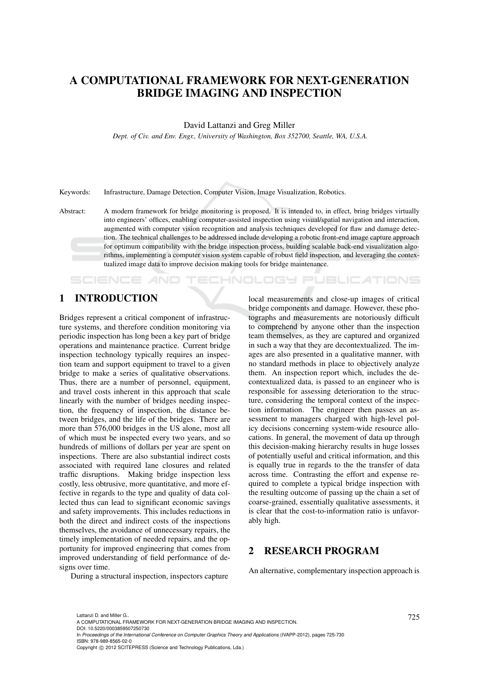# A COMPUTATIONAL FRAMEWORK FOR NEXT-GENERATION BRIDGE IMAGING AND INSPECTION

#### David Lattanzi and Greg Miller

*Dept. of Civ. and Env. Engr., University of Washington, Box 352700, Seattle, WA, U.S.A.*

Keywords: Infrastructure, Damage Detection, Computer Vision, Image Visualization, Robotics.

Abstract: A modern framework for bridge monitoring is proposed. It is intended to, in effect, bring bridges virtually into engineers' offices, enabling computer-assisted inspection using visual/spatial navigation and interaction, augmented with computer vision recognition and analysis techniques developed for flaw and damage detection. The technical challenges to be addressed include developing a robotic front-end image capture approach for optimum compatibility with the bridge inspection process, building scalable back-end visualization algorithms, implementing a computer vision system capable of robust field inspection, and leveraging the contextualized image data to improve decision making tools for bridge maintenance.

## 1 INTRODUCTION

SCIENCE *AND* 

Bridges represent a critical component of infrastructure systems, and therefore condition monitoring via periodic inspection has long been a key part of bridge operations and maintenance practice. Current bridge inspection technology typically requires an inspection team and support equipment to travel to a given bridge to make a series of qualitative observations. Thus, there are a number of personnel, equipment, and travel costs inherent in this approach that scale linearly with the number of bridges needing inspection, the frequency of inspection, the distance between bridges, and the life of the bridges. There are more than 576,000 bridges in the US alone, most all of which must be inspected every two years, and so hundreds of millions of dollars per year are spent on inspections. There are also substantial indirect costs associated with required lane closures and related traffic disruptions. Making bridge inspection less costly, less obtrusive, more quantitative, and more effective in regards to the type and quality of data collected thus can lead to significant economic savings and safety improvements. This includes reductions in both the direct and indirect costs of the inspections themselves, the avoidance of unnecessary repairs, the timely implementation of needed repairs, and the opportunity for improved engineering that comes from improved understanding of field performance of designs over time.

During a structural inspection, inspectors capture

local measurements and close-up images of critical bridge components and damage. However, these photographs and measurements are notoriously difficult to comprehend by anyone other than the inspection team themselves, as they are captured and organized in such a way that they are decontextualized. The images are also presented in a qualitative manner, with no standard methods in place to objectively analyze them. An inspection report which, includes the decontextualized data, is passed to an engineer who is responsible for assessing deterioration to the structure, considering the temporal context of the inspection information. The engineer then passes an assessment to managers charged with high-level policy decisions concerning system-wide resource allocations. In general, the movement of data up through this decision-making hierarchy results in huge losses of potentially useful and critical information, and this is equally true in regards to the the transfer of data across time. Contrasting the effort and expense required to complete a typical bridge inspection with the resulting outcome of passing up the chain a set of coarse-grained, essentially qualitative assessments, it is clear that the cost-to-information ratio is unfavorably high.

TECHNOLOGY PUBLICATIONS

### 2 RESEARCH PROGRAM

An alternative, complementary inspection approach is

In *Proceedings of the International Conference on Computer Graphics Theory and Applications* (IVAPP-2012), pages 725-730 ISBN: 978-989-8565-02-0

<sup>725</sup> Lattanzi D. and Miller G.. A COMPUTATIONAL FRAMEWORK FOR NEXT-GENERATION BRIDGE IMAGING AND INSPECTION. DOI: 10.5220/0003859507250730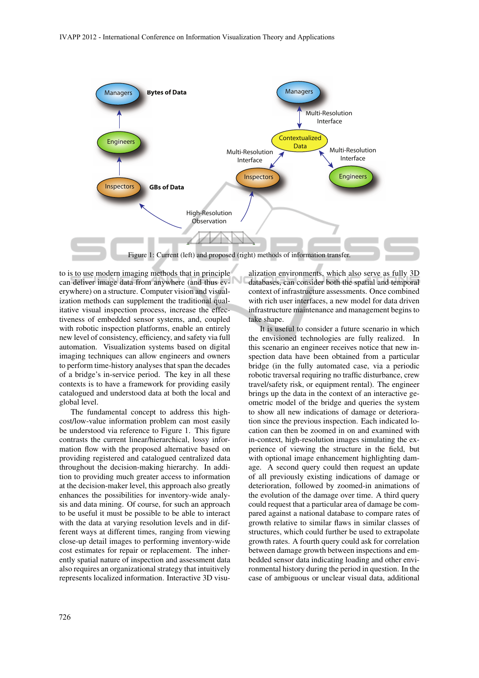

to is to use modern imaging methods that in principle can deliver image data from anywhere (and thus everywhere) on a structure. Computer vision and visualization methods can supplement the traditional qualitative visual inspection process, increase the effectiveness of embedded sensor systems, and, coupled with robotic inspection platforms, enable an entirely new level of consistency, efficiency, and safety via full automation. Visualization systems based on digital imaging techniques can allow engineers and owners to perform time-history analyses that span the decades of a bridge's in-service period. The key in all these contexts is to have a framework for providing easily catalogued and understood data at both the local and global level.

The fundamental concept to address this highcost/low-value information problem can most easily be understood via reference to Figure 1. This figure contrasts the current linear/hierarchical, lossy information flow with the proposed alternative based on providing registered and catalogued centralized data throughout the decision-making hierarchy. In addition to providing much greater access to information at the decision-maker level, this approach also greatly enhances the possibilities for inventory-wide analysis and data mining. Of course, for such an approach to be useful it must be possible to be able to interact with the data at varying resolution levels and in different ways at different times, ranging from viewing close-up detail images to performing inventory-wide cost estimates for repair or replacement. The inherently spatial nature of inspection and assessment data also requires an organizational strategy that intuitively represents localized information. Interactive 3D visu-

alization environments, which also serve as fully 3D databases, can consider both the spatial and temporal context of infrastructure assessments. Once combined with rich user interfaces, a new model for data driven infrastructure maintenance and management begins to take shape.

It is useful to consider a future scenario in which the envisioned technologies are fully realized. In this scenario an engineer receives notice that new inspection data have been obtained from a particular bridge (in the fully automated case, via a periodic robotic traversal requiring no traffic disturbance, crew travel/safety risk, or equipment rental). The engineer brings up the data in the context of an interactive geometric model of the bridge and queries the system to show all new indications of damage or deterioration since the previous inspection. Each indicated location can then be zoomed in on and examined with in-context, high-resolution images simulating the experience of viewing the structure in the field, but with optional image enhancement highlighting damage. A second query could then request an update of all previously existing indications of damage or deterioration, followed by zoomed-in animations of the evolution of the damage over time. A third query could request that a particular area of damage be compared against a national database to compare rates of growth relative to similar flaws in similar classes of structures, which could further be used to extrapolate growth rates. A fourth query could ask for correlation between damage growth between inspections and embedded sensor data indicating loading and other environmental history during the period in question. In the case of ambiguous or unclear visual data, additional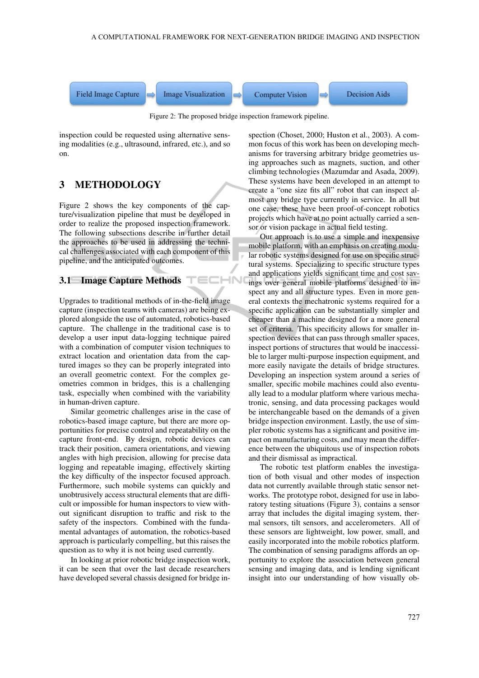

Figure 2: The proposed bridge inspection framework pipeline.

**IHN** 

inspection could be requested using alternative sensing modalities (e.g., ultrasound, infrared, etc.), and so on.

### 3 METHODOLOGY

Figure 2 shows the key components of the capture/visualization pipeline that must be developed in order to realize the proposed inspection framework. The following subsections describe in further detail the approaches to be used in addressing the technical challenges associated with each component of this pipeline, and the anticipated outcomes.

#### 3.1 Image Capture Methods

Upgrades to traditional methods of in-the-field image capture (inspection teams with cameras) are being explored alongside the use of automated, robotics-based capture. The challenge in the traditional case is to develop a user input data-logging technique paired with a combination of computer vision techniques to extract location and orientation data from the captured images so they can be properly integrated into an overall geometric context. For the complex geometries common in bridges, this is a challenging task, especially when combined with the variability in human-driven capture.

Similar geometric challenges arise in the case of robotics-based image capture, but there are more opportunities for precise control and repeatability on the capture front-end. By design, robotic devices can track their position, camera orientations, and viewing angles with high precision, allowing for precise data logging and repeatable imaging, effectively skirting the key difficulty of the inspector focused approach. Furthermore, such mobile systems can quickly and unobtrusively access structural elements that are difficult or impossible for human inspectors to view without significant disruption to traffic and risk to the safety of the inspectors. Combined with the fundamental advantages of automation, the robotics-based approach is particularly compelling, but this raises the question as to why it is not being used currently.

In looking at prior robotic bridge inspection work, it can be seen that over the last decade researchers have developed several chassis designed for bridge in-

spection (Choset, 2000; Huston et al., 2003). A common focus of this work has been on developing mechanisms for traversing arbitrary bridge geometries using approaches such as magnets, suction, and other climbing technologies (Mazumdar and Asada, 2009). These systems have been developed in an attempt to create a "one size fits all" robot that can inspect almost any bridge type currently in service. In all but one case, these have been proof-of-concept robotics projects which have at no point actually carried a sensor or vision package in actual field testing.

Our approach is to use a simple and inexpensive mobile platform, with an emphasis on creating modular robotic systems designed for use on specific structural systems. Specializing to specific structure types and applications yields significant time and cost savings over general mobile platforms designed to inspect any and all structure types. Even in more general contexts the mechatronic systems required for a specific application can be substantially simpler and cheaper than a machine designed for a more general set of criteria. This specificity allows for smaller inspection devices that can pass through smaller spaces, inspect portions of structures that would be inaccessible to larger multi-purpose inspection equipment, and more easily navigate the details of bridge structures. Developing an inspection system around a series of smaller, specific mobile machines could also eventually lead to a modular platform where various mechatronic, sensing, and data processing packages would be interchangeable based on the demands of a given bridge inspection environment. Lastly, the use of simpler robotic systems has a significant and positive impact on manufacturing costs, and may mean the difference between the ubiquitous use of inspection robots and their dismissal as impractical.

The robotic test platform enables the investigation of both visual and other modes of inspection data not currently available through static sensor networks. The prototype robot, designed for use in laboratory testing situations (Figure 3), contains a sensor array that includes the digital imaging system, thermal sensors, tilt sensors, and accelerometers. All of these sensors are lightweight, low power, small, and easily incorporated into the mobile robotics platform. The combination of sensing paradigms affords an opportunity to explore the association between general sensing and imaging data, and is lending significant insight into our understanding of how visually ob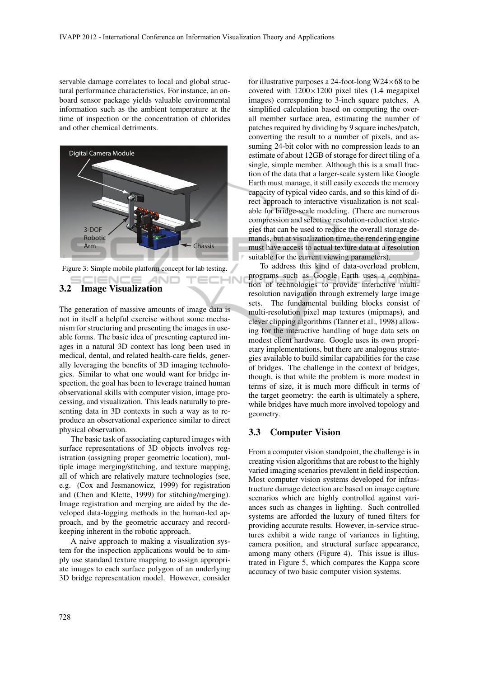ECHN

servable damage correlates to local and global structural performance characteristics. For instance, an onboard sensor package yields valuable environmental information such as the ambient temperature at the time of inspection or the concentration of chlorides and other chemical detriments.





#### **SCIENCE AND** 3.2 Image Visualization

The generation of massive amounts of image data is not in itself a helpful exercise without some mechanism for structuring and presenting the images in useable forms. The basic idea of presenting captured images in a natural 3D context has long been used in medical, dental, and related health-care fields, generally leveraging the benefits of 3D imaging technologies. Similar to what one would want for bridge inspection, the goal has been to leverage trained human observational skills with computer vision, image processing, and visualization. This leads naturally to presenting data in 3D contexts in such a way as to reproduce an observational experience similar to direct physical observation.

The basic task of associating captured images with surface representations of 3D objects involves registration (assigning proper geometric location), multiple image merging/stitching, and texture mapping, all of which are relatively mature technologies (see, e.g. (Cox and Jesmanowicz, 1999) for registration and (Chen and Klette, 1999) for stitching/merging). Image registration and merging are aided by the developed data-logging methods in the human-led approach, and by the geometric accuracy and recordkeeping inherent in the robotic approach.

A naive approach to making a visualization system for the inspection applications would be to simply use standard texture mapping to assign appropriate images to each surface polygon of an underlying 3D bridge representation model. However, consider

for illustrative purposes a 24-foot-long  $W24\times68$  to be covered with  $1200 \times 1200$  pixel tiles (1.4 megapixel images) corresponding to 3-inch square patches. A simplified calculation based on computing the overall member surface area, estimating the number of patches required by dividing by 9 square inches/patch, converting the result to a number of pixels, and assuming 24-bit color with no compression leads to an estimate of about 12GB of storage for direct tiling of a single, simple member. Although this is a small fraction of the data that a larger-scale system like Google Earth must manage, it still easily exceeds the memory capacity of typical video cards, and so this kind of direct approach to interactive visualization is not scalable for bridge-scale modeling. (There are numerous compression and selective resolution-reduction strategies that can be used to reduce the overall storage demands, but at visualization time, the rendering engine must have access to actual texture data at a resolution suitable for the current viewing parameters).

To address this kind of data-overload problem, programs such as Google Earth uses a combination of technologies to provide interactive multiresolution navigation through extremely large image sets. The fundamental building blocks consist of multi-resolution pixel map textures (mipmaps), and clever clipping algorithms (Tanner et al., 1998) allowing for the interactive handling of huge data sets on modest client hardware. Google uses its own proprietary implementations, but there are analogous strategies available to build similar capabilities for the case of bridges. The challenge in the context of bridges, though, is that while the problem is more modest in terms of size, it is much more difficult in terms of the target geometry: the earth is ultimately a sphere, while bridges have much more involved topology and geometry.

#### 3.3 Computer Vision

From a computer vision standpoint, the challenge is in creating vision algorithms that are robust to the highly varied imaging scenarios prevalent in field inspection. Most computer vision systems developed for infrastructure damage detection are based on image capture scenarios which are highly controlled against variances such as changes in lighting. Such controlled systems are afforded the luxury of tuned filters for providing accurate results. However, in-service structures exhibit a wide range of variances in lighting, camera position, and structural surface appearance, among many others (Figure 4). This issue is illustrated in Figure 5, which compares the Kappa score accuracy of two basic computer vision systems.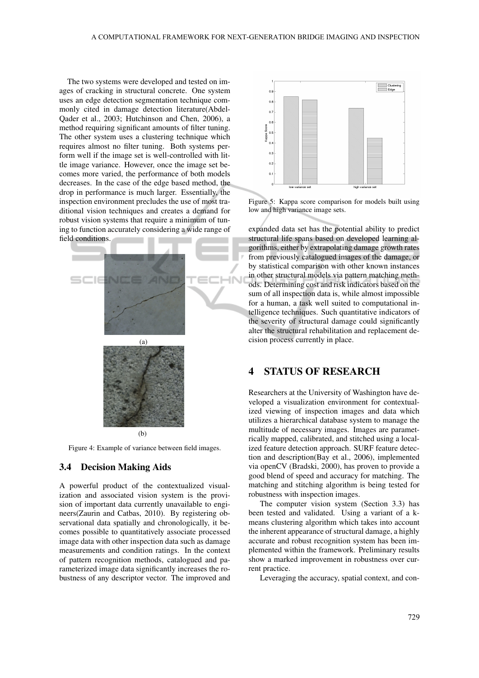The two systems were developed and tested on images of cracking in structural concrete. One system uses an edge detection segmentation technique commonly cited in damage detection literature(Abdel-Qader et al., 2003; Hutchinson and Chen, 2006), a method requiring significant amounts of filter tuning. The other system uses a clustering technique which requires almost no filter tuning. Both systems perform well if the image set is well-controlled with little image variance. However, once the image set becomes more varied, the performance of both models decreases. In the case of the edge based method, the drop in performance is much larger. Essentially, the inspection environment precludes the use of most traditional vision techniques and creates a demand for robust vision systems that require a minimum of tuning to function accurately considering a wide range of field conditions.



Figure 4: Example of variance between field images.

#### 3.4 Decision Making Aids

A powerful product of the contextualized visualization and associated vision system is the provision of important data currently unavailable to engineers(Zaurin and Catbas, 2010). By registering observational data spatially and chronologically, it becomes possible to quantitatively associate processed image data with other inspection data such as damage measurements and condition ratings. In the context of pattern recognition methods, catalogued and parameterized image data significantly increases the robustness of any descriptor vector. The improved and



Figure 5: Kappa score comparison for models built using low and high variance image sets.

expanded data set has the potential ability to predict structural life spans based on developed learning algorithms, either by extrapolating damage growth rates from previously catalogued images of the damage, or by statistical comparison with other known instances in other structural models via pattern matching methods. Determining cost and risk indicators based on the sum of all inspection data is, while almost impossible for a human, a task well suited to computational intelligence techniques. Such quantitative indicators of the severity of structural damage could significantly alter the structural rehabilitation and replacement decision process currently in place.

### 4 STATUS OF RESEARCH

Researchers at the University of Washington have developed a visualization environment for contextualized viewing of inspection images and data which utilizes a hierarchical database system to manage the multitude of necessary images. Images are parametrically mapped, calibrated, and stitched using a localized feature detection approach. SURF feature detection and description(Bay et al., 2006), implemented via openCV (Bradski, 2000), has proven to provide a good blend of speed and accuracy for matching. The matching and stitching algorithm is being tested for robustness with inspection images.

The computer vision system (Section 3.3) has been tested and validated. Using a variant of a kmeans clustering algorithm which takes into account the inherent appearance of structural damage, a highly accurate and robust recognition system has been implemented within the framework. Preliminary results show a marked improvement in robustness over current practice.

Leveraging the accuracy, spatial context, and con-